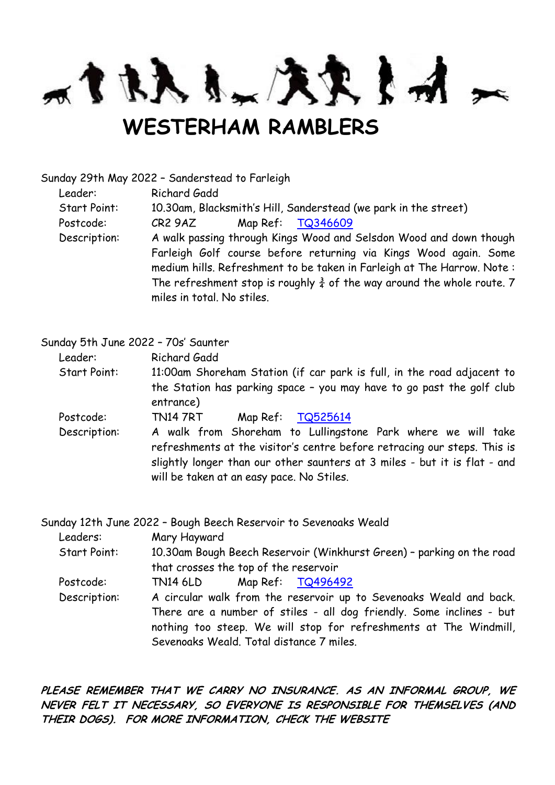m t RA & L A R & M

## **WESTERHAM RAMBLERS**

Sunday 29th May 2022 – Sanderstead to Farleigh

Leader: Richard Gadd

Start Point: 10.30am, Blacksmith's Hill, Sanderstead (we park in the street)

Postcode: CR2 9AZ Map Ref: [TQ346609](http://www.streetmap.co.uk/loc/TQ346609)

Description: A walk passing through Kings Wood and Selsdon Wood and down though Farleigh Golf course before returning via Kings Wood again. Some medium hills. Refreshment to be taken in Farleigh at The Harrow. Note : The refreshment stop is roughly  $\frac{3}{4}$  of the way around the whole route. 7 miles in total. No stiles.

Sunday 5th June 2022 – 70s' Saunter

Leader: Richard Gadd

Start Point: 11:00am Shoreham Station (if car park is full, in the road adjacent to the Station has parking space – you may have to go past the golf club entrance)

Postcode: TN14 7RT Map Ref: [TQ525614](http://www.streetmap.co.uk/loc/TQ525614)

Description: A walk from Shoreham to Lullingstone Park where we will take refreshments at the visitor's centre before retracing our steps. This is slightly longer than our other saunters at 3 miles - but it is flat - and will be taken at an easy pace. No Stiles.

Sunday 12th June 2022 – Bough Beech Reservoir to Sevenoaks Weald

Leaders: Mary Hayward

Start Point: 10.30am Bough Beech Reservoir (Winkhurst Green) – parking on the road that crosses the top of the reservoir

Postcode: TN14 6LD Map Ref: [TQ496492](http://www.streetmap.co.uk/loc/TQ496492)

Description: A circular walk from the reservoir up to Sevenoaks Weald and back. There are a number of stiles - all dog friendly. Some inclines - but nothing too steep. We will stop for refreshments at The Windmill, Sevenoaks Weald. Total distance 7 miles.

**PLEASE REMEMBER THAT WE CARRY NO INSURANCE. AS AN INFORMAL GROUP, WE NEVER FELT IT NECESSARY, SO EVERYONE IS RESPONSIBLE FOR THEMSELVES (AND THEIR DOGS). FOR MORE INFORMATION, CHECK THE WEBSITE**